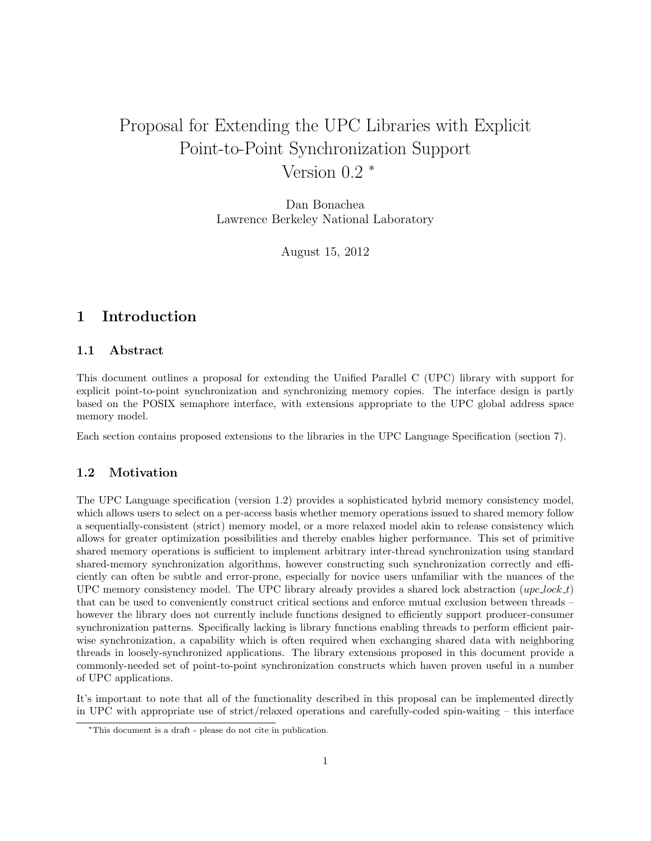# Proposal for Extending the UPC Libraries with Explicit Point-to-Point Synchronization Support Version 0.2 <sup>∗</sup>

Dan Bonachea Lawrence Berkeley National Laboratory

August 15, 2012

# 1 Introduction

### 1.1 Abstract

This document outlines a proposal for extending the Unified Parallel C (UPC) library with support for explicit point-to-point synchronization and synchronizing memory copies. The interface design is partly based on the POSIX semaphore interface, with extensions appropriate to the UPC global address space memory model.

Each section contains proposed extensions to the libraries in the UPC Language Specification (section 7).

### 1.2 Motivation

The UPC Language specification (version 1.2) provides a sophisticated hybrid memory consistency model, which allows users to select on a per-access basis whether memory operations issued to shared memory follow a sequentially-consistent (strict) memory model, or a more relaxed model akin to release consistency which allows for greater optimization possibilities and thereby enables higher performance. This set of primitive shared memory operations is sufficient to implement arbitrary inter-thread synchronization using standard shared-memory synchronization algorithms, however constructing such synchronization correctly and efficiently can often be subtle and error-prone, especially for novice users unfamiliar with the nuances of the UPC memory consistency model. The UPC library already provides a shared lock abstraction  $(upc\_lock\_t)$ that can be used to conveniently construct critical sections and enforce mutual exclusion between threads – however the library does not currently include functions designed to efficiently support producer-consumer synchronization patterns. Specifically lacking is library functions enabling threads to perform efficient pairwise synchronization, a capability which is often required when exchanging shared data with neighboring threads in loosely-synchronized applications. The library extensions proposed in this document provide a commonly-needed set of point-to-point synchronization constructs which haven proven useful in a number of UPC applications.

It's important to note that all of the functionality described in this proposal can be implemented directly in UPC with appropriate use of strict/relaxed operations and carefully-coded spin-waiting – this interface

<sup>∗</sup>This document is a draft - please do not cite in publication.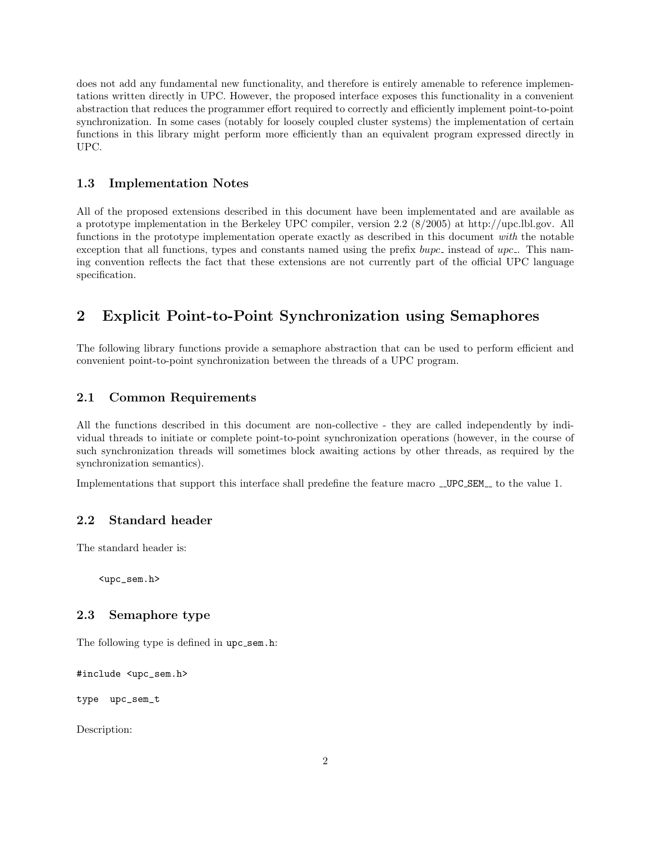does not add any fundamental new functionality, and therefore is entirely amenable to reference implementations written directly in UPC. However, the proposed interface exposes this functionality in a convenient abstraction that reduces the programmer effort required to correctly and efficiently implement point-to-point synchronization. In some cases (notably for loosely coupled cluster systems) the implementation of certain functions in this library might perform more efficiently than an equivalent program expressed directly in UPC.

#### 1.3 Implementation Notes

All of the proposed extensions described in this document have been implementated and are available as a prototype implementation in the Berkeley UPC compiler, version 2.2 (8/2005) at http://upc.lbl.gov. All functions in the prototype implementation operate exactly as described in this document with the notable exception that all functions, types and constants named using the prefix  $b$ upc<sub>-</sub> instead of upc<sub>-</sub>. This naming convention reflects the fact that these extensions are not currently part of the official UPC language specification.

# 2 Explicit Point-to-Point Synchronization using Semaphores

The following library functions provide a semaphore abstraction that can be used to perform efficient and convenient point-to-point synchronization between the threads of a UPC program.

# 2.1 Common Requirements

All the functions described in this document are non-collective - they are called independently by individual threads to initiate or complete point-to-point synchronization operations (however, in the course of such synchronization threads will sometimes block awaiting actions by other threads, as required by the synchronization semantics).

Implementations that support this interface shall predefine the feature macro \_UPC\_SEM\_to the value 1.

# 2.2 Standard header

The standard header is:

<upc\_sem.h>

### 2.3 Semaphore type

The following type is defined in upc\_sem.h:

#include <upc\_sem.h>

type upc\_sem\_t

Description: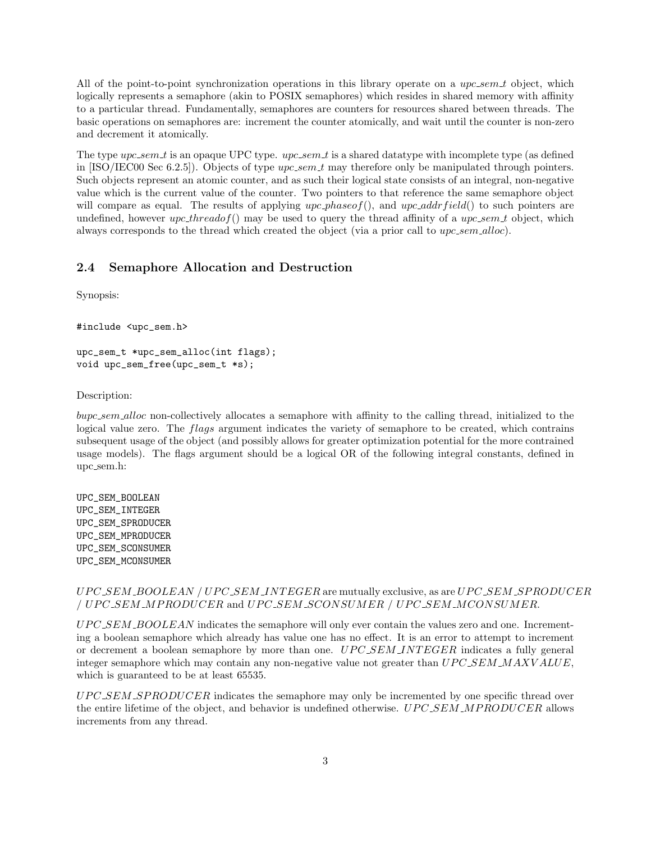All of the point-to-point synchronization operations in this library operate on a  $\iota_1$  upc sem t object, which logically represents a semaphore (akin to POSIX semaphores) which resides in shared memory with affinity to a particular thread. Fundamentally, semaphores are counters for resources shared between threads. The basic operations on semaphores are: increment the counter atomically, and wait until the counter is non-zero and decrement it atomically.

The type  $\mu pc.sem_t$  is an opaque UPC type.  $\mu pc.sem_t$  is a shared datatype with incomplete type (as defined in [ISO/IEC00 Sec 6.2.5]). Objects of type  $\iota pc.sem.t$  may therefore only be manipulated through pointers. Such objects represent an atomic counter, and as such their logical state consists of an integral, non-negative value which is the current value of the counter. Two pointers to that reference the same semaphore object will compare as equal. The results of applying  $\mu pc\_{phase}$ , and  $\mu pc\_{addrfield}$  to such pointers are undefined, however  $\textit{upc\_threadof}()$  may be used to query the thread affinity of a  $\textit{upc\_sem\_t}$  object, which always corresponds to the thread which created the object (via a prior call to  $upc.sem\_alloc$ ).

## 2.4 Semaphore Allocation and Destruction

Synopsis:

```
#include <upc_sem.h>
```

```
upc_sem_t *upc_sem_alloc(int flags);
void upc_sem_free(upc_sem_t *s);
```
Description:

bupc sem alloc non-collectively allocates a semaphore with affinity to the calling thread, initialized to the logical value zero. The *flags* argument indicates the variety of semaphore to be created, which contrains subsequent usage of the object (and possibly allows for greater optimization potential for the more contrained usage models). The flags argument should be a logical OR of the following integral constants, defined in upc sem.h:

UPC\_SEM\_BOOLEAN UPC\_SEM\_INTEGER UPC\_SEM\_SPRODUCER UPC\_SEM\_MPRODUCER UPC\_SEM\_SCONSUMER UPC\_SEM\_MCONSUMER

#### $UPC\_SEM\_BOOLEAN / UPC\_SEM\_INTERER$  are mutually exclusive, as are  $UPC\_SEM\_SPRODUCTIONER$ / UPC\_SEM\_MPRODUCER and UPC\_SEM\_SCONSUMER / UPC\_SEM\_MCONSUMER.

 $UPC\_SEM\_BOOLEAN$  indicates the semaphore will only ever contain the values zero and one. Incrementing a boolean semaphore which already has value one has no effect. It is an error to attempt to increment or decrement a boolean semaphore by more than one. UPC SEM INTEGER indicates a fully general integer semaphore which may contain any non-negative value not greater than  $UPC\_SEM\_MAXVALUE$ , which is guaranteed to be at least 65535.

UPC\_SEM\_SPRODUCER indicates the semaphore may only be incremented by one specific thread over the entire lifetime of the object, and behavior is undefined otherwise. UPC\_SEM\_MPRODUCER allows increments from any thread.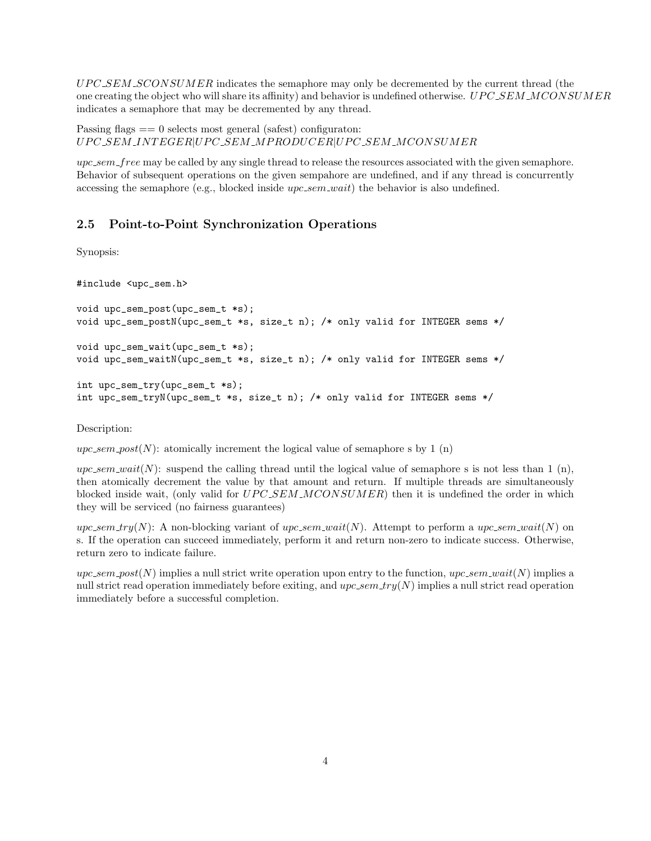$UPC\_SEM\_SCONSUMER$  indicates the semaphore may only be decremented by the current thread (the one creating the object who will share its affinity) and behavior is undefined otherwise. UPC\_SEM\_MCONSUMER indicates a semaphore that may be decremented by any thread.

Passing flags  $== 0$  selects most general (safest) configuraton: UPC\_SEM\_INTEGER|UPC\_SEM\_MPRODUCER|UPC\_SEM\_MCONSUMER

 $upc_{sem}$  free may be called by any single thread to release the resources associated with the given semaphore. Behavior of subsequent operations on the given sempahore are undefined, and if any thread is concurrently accessing the semaphore (e.g., blocked inside upc\_sem\_wait) the behavior is also undefined.

# 2.5 Point-to-Point Synchronization Operations

Synopsis:

#include <upc\_sem.h>

```
void upc_sem_post(upc_sem_t *s);
void upc_sem_postN(upc_sem_t *s, size_t n); /* only valid for INTEGER sems */
void upc_sem_wait(upc_sem_t *s);
void upc_sem_waitN(upc_sem_t *s, size_t n); /* only valid for INTEGER sems */
int upc_sem_try(upc_sem_t *s);
```
int upc\_sem\_tryN(upc\_sem\_t \*s, size\_t n); /\* only valid for INTEGER sems \*/

Description:

 $upc.sem\_post(N)$ : atomically increment the logical value of semaphore s by 1 (n)

 $\mu p c \text{.sem } wait(N)$ : suspend the calling thread until the logical value of semaphore s is not less than 1 (n), then atomically decrement the value by that amount and return. If multiple threads are simultaneously blocked inside wait, (only valid for  $UPC\_SEM\_MCONSUMER$ ) then it is undefined the order in which they will be serviced (no fairness guarantees)

upc\_sem\_try(N): A non-blocking variant of upc\_sem\_wait(N). Attempt to perform a upc\_sem\_wait(N) on s. If the operation can succeed immediately, perform it and return non-zero to indicate success. Otherwise, return zero to indicate failure.

 $upc.sem\_post(N)$  implies a null strict write operation upon entry to the function,  $upc.sem\_wait(N)$  implies a null strict read operation immediately before exiting, and  $\mu p c$  sem  $\text{tr}(N)$  implies a null strict read operation immediately before a successful completion.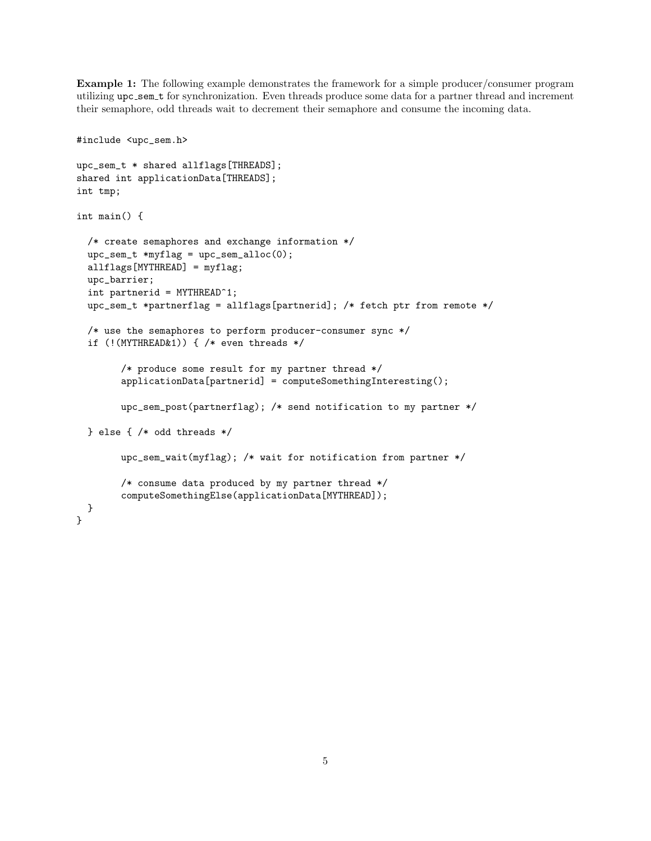Example 1: The following example demonstrates the framework for a simple producer/consumer program utilizing upc sem t for synchronization. Even threads produce some data for a partner thread and increment their semaphore, odd threads wait to decrement their semaphore and consume the incoming data.

```
#include <upc_sem.h>
upc_sem_t * shared allflags[THREADS];
shared int applicationData[THREADS];
int tmp;
int main() {
  /* create semaphores and exchange information */
  \text{upc\_sem\_t *myflag} = \text{upc\_sem\_alloc}(0);allflags[MYTHREAD] = myflag;
  upc_barrier;
  int partnerid = MYTHREAD^1;
  upc_sem_t *partnerflag = allflags[partnerid]; /* fetch ptr from remote */
  /* use the semaphores to perform producer-consumer sync */
  if (!(MYTHREAD&1)) { /* even threads */
        /* produce some result for my partner thread */
        applicationData[partnerid] = computeSomethingInteresting();
        upc_sem_post(partnerflag); /* send notification to my partner */
  } else { /* odd threads */
        upc_sem_wait(myflag); /* wait for notification from partner */
        /* consume data produced by my partner thread */
        computeSomethingElse(applicationData[MYTHREAD]);
 }
}
```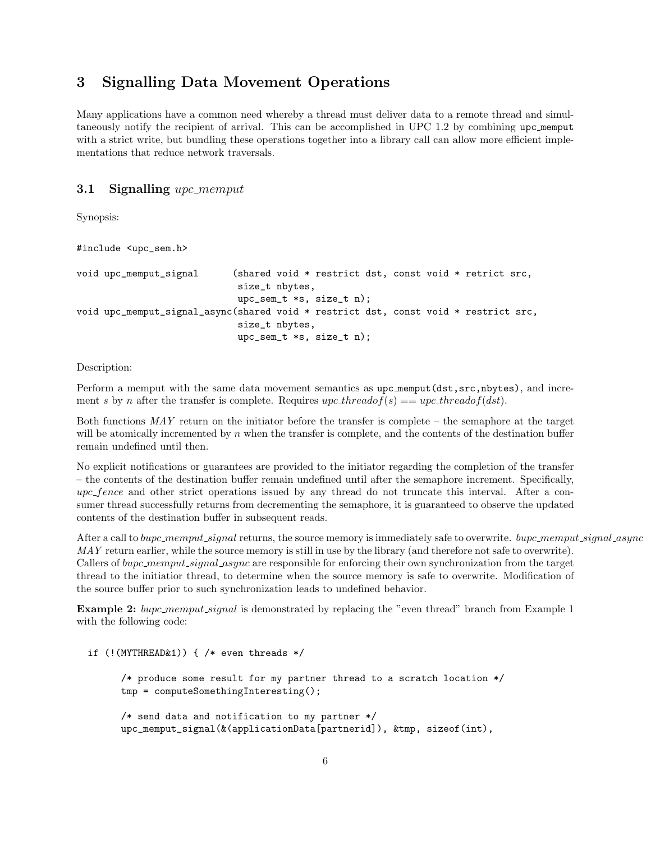# 3 Signalling Data Movement Operations

Many applications have a common need whereby a thread must deliver data to a remote thread and simultaneously notify the recipient of arrival. This can be accomplished in UPC 1.2 by combining upc memput with a strict write, but bundling these operations together into a library call can allow more efficient implementations that reduce network traversals.

#### **3.1 Signalling** upc\_memput

Synopsis:

```
#include <upc_sem.h>
void upc_memput_signal (shared void * restrict dst, const void * retrict src,
                             size_t nbytes,
                            upc_sem_t *s, size_t n);
void upc_memput_signal_async(shared void * restrict dst, const void * restrict src,
                             size_t nbytes,
                             upc_sem_t *s, size_t n);
```
Description:

Perform a memput with the same data movement semantics as  $\text{upc}_\text{memput}(\text{dst},\text{src},\text{nbytes})$ , and increment s by n after the transfer is complete. Requires  $\iota pc\_threadof(s) = \iota pc\_threadof(dst)$ .

Both functions  $MAT$  return on the initiator before the transfer is complete – the semaphore at the target will be atomically incremented by  $n$  when the transfer is complete, and the contents of the destination buffer remain undefined until then.

No explicit notifications or guarantees are provided to the initiator regarding the completion of the transfer – the contents of the destination buffer remain undefined until after the semaphore increment. Specifically, upc fence and other strict operations issued by any thread do not truncate this interval. After a consumer thread successfully returns from decrementing the semaphore, it is guaranteed to observe the updated contents of the destination buffer in subsequent reads.

After a call to bupc\_memput\_signal returns, the source memory is immediately safe to overwrite. bupc\_memput\_signal\_async MAY return earlier, while the source memory is still in use by the library (and therefore not safe to overwrite). Callers of bupc\_memput\_signal\_async are responsible for enforcing their own synchronization from the target thread to the initiatior thread, to determine when the source memory is safe to overwrite. Modification of the source buffer prior to such synchronization leads to undefined behavior.

Example 2: bupc\_memput\_signal is demonstrated by replacing the "even thread" branch from Example 1 with the following code:

```
if (!(MYTHREAD&1)) { /* even threads */
      /* produce some result for my partner thread to a scratch location */
      tmp = computeSomethingInteresting();
      /* send data and notification to my partner */
      upc_memput_signal(&(applicationData[partnerid]), &tmp, sizeof(int),
```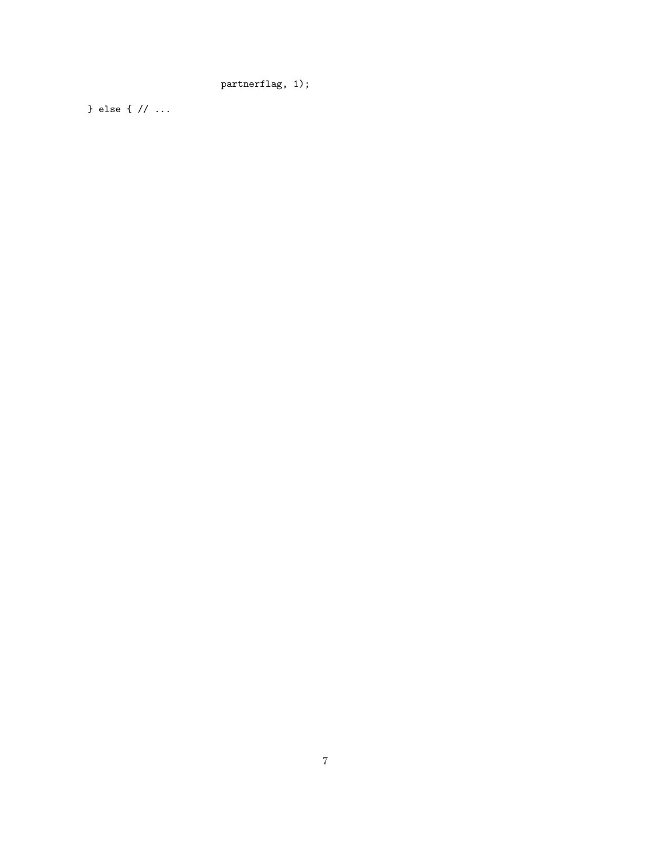partnerflag, 1);

} else { // ...